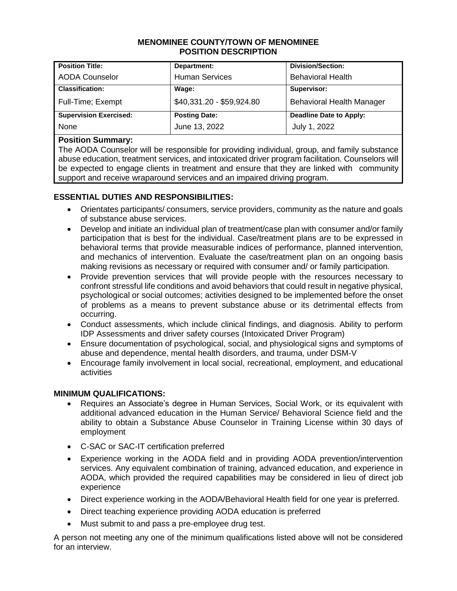#### **MENOMINEE COUNTY/TOWN OF MENOMINEE POSITION DESCRIPTION**

| <b>Position Title:</b>        | Department:               | <b>Division/Section:</b>  |
|-------------------------------|---------------------------|---------------------------|
| <b>AODA Counselor</b>         | <b>Human Services</b>     | <b>Behavioral Health</b>  |
| <b>Classification:</b>        | Wage:                     | Supervisor:               |
| Full-Time; Exempt             | \$40,331.20 - \$59,924.80 | Behavioral Health Manager |
| <b>Supervision Exercised:</b> | <b>Posting Date:</b>      | Deadline Date to Apply:   |
| None                          | June 13, 2022             | July 1, 2022              |

### **Position Summary:**

The AODA Counselor will be responsible for providing individual, group, and family substance abuse education, treatment services, and intoxicated driver program facilitation. Counselors will be expected to engage clients in treatment and ensure that they are linked with community support and receive wraparound services and an impaired driving program.

# **ESSENTIAL DUTIES AND RESPONSIBILITIES:**

- Orientates participants/ consumers, service providers, community as the nature and goals of substance abuse services.
- Develop and initiate an individual plan of treatment/case plan with consumer and/or family participation that is best for the individual. Case/treatment plans are to be expressed in behavioral terms that provide measurable indices of performance, planned intervention, and mechanics of intervention. Evaluate the case/treatment plan on an ongoing basis making revisions as necessary or required with consumer and/ or family participation.
- Provide prevention services that will provide people with the resources necessary to confront stressful life conditions and avoid behaviors that could result in negative physical, psychological or social outcomes; activities designed to be implemented before the onset of problems as a means to prevent substance abuse or its detrimental effects from occurring.
- Conduct assessments, which include clinical findings, and diagnosis. Ability to perform IDP Assessments and driver safety courses (Intoxicated Driver Program)
- Ensure documentation of psychological, social, and physiological signs and symptoms of abuse and dependence, mental health disorders, and trauma, under DSM-V
- Encourage family involvement in local social, recreational, employment, and educational activities

# **MINIMUM QUALIFICATIONS:**

- Requires an Associate's degree in Human Services, Social Work, or its equivalent with additional advanced education in the Human Service/ Behavioral Science field and the ability to obtain a Substance Abuse Counselor in Training License within 30 days of employment
- C-SAC or SAC-IT certification preferred
- Experience working in the AODA field and in providing AODA prevention/intervention services. Any equivalent combination of training, advanced education, and experience in AODA, which provided the required capabilities may be considered in lieu of direct job experience
- Direct experience working in the AODA/Behavioral Health field for one year is preferred.
- Direct teaching experience providing AODA education is preferred
- Must submit to and pass a pre-employee drug test.

A person not meeting any one of the minimum qualifications listed above will not be considered for an interview.